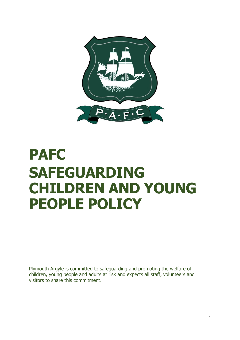

# **PAFC SAFEGUARDING CHILDREN AND YOUNG PEOPLE POLICY**

Plymouth Argyle is committed to safeguarding and promoting the welfare of children, young people and adults at risk and expects all staff, volunteers and visitors to share this commitment.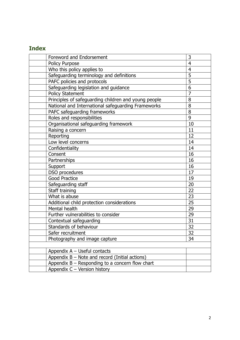# **Index**

| <b>Foreword and Endorsement</b>                      | 3               |
|------------------------------------------------------|-----------------|
| Policy Purpose                                       | $\overline{4}$  |
| Who this policy applies to                           | $\overline{4}$  |
| Safeguarding terminology and definitions             | $\overline{5}$  |
| PAFC policies and protocols                          | $\overline{5}$  |
| Safeguarding legislation and guidance                | $\overline{6}$  |
| <b>Policy Statement</b>                              | $\overline{7}$  |
| Principles of safeguarding children and young people | 8               |
| National and International safeguarding Frameworks   | 8               |
| PAFC safeguarding frameworks                         | 8               |
| Roles and responsibilities                           | 9               |
| Organisational safeguarding framework                | 10              |
| Raising a concern                                    | 11              |
| Reporting                                            | 12              |
| Low level concerns                                   | 14              |
| Confidentiality                                      | 14              |
| Consent                                              | 16              |
| Partnerships                                         | 16              |
| Support                                              | 16              |
| DSO procedures                                       | 17              |
| <b>Good Practice</b>                                 | 19              |
| Safeguarding staff                                   | 20              |
| Staff training                                       | 22              |
| What is abuse                                        | 23              |
| Additional child protection considerations           | 25              |
| Mental health                                        | 29              |
| Further vulnerabilities to consider                  | 29              |
| Contextual safeguarding                              | $\overline{31}$ |
| Standards of behaviour                               | $\overline{32}$ |
| Safer recruitment                                    | $\overline{32}$ |
| Photography and image capture                        | 34              |
|                                                      |                 |
| Appendix $A -$ Useful contacts                       |                 |
| Appendix $B - Note$ and record (Initial actions)     |                 |
| Appendix $B -$ Responding to a concern flow chart    |                 |
| Appendix C - Version history                         |                 |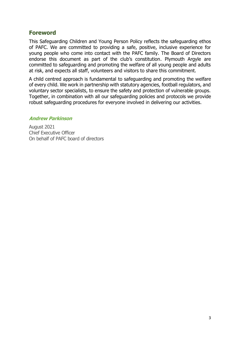## **Foreword**

This Safeguarding Children and Young Person Policy reflects the safeguarding ethos of PAFC. We are committed to providing a safe, positive, inclusive experience for young people who come into contact with the PAFC family. The Board of Directors endorse this document as part of the club's constitution. Plymouth Argyle are committed to safeguarding and promoting the welfare of all young people and adults at risk, and expects all staff, volunteers and visitors to share this commitment.

A child centred approach is fundamental to safeguarding and promoting the welfare of every child. We work in partnership with statutory agencies, football regulators, and voluntary sector specialists, to ensure the safety and protection of vulnerable groups. Together, in combination with all our safeguarding policies and protocols we provide robust safeguarding procedures for everyone involved in delivering our activities.

#### **Andrew Parkinson**

August 2021 Chief Executive Officer On behalf of PAFC board of directors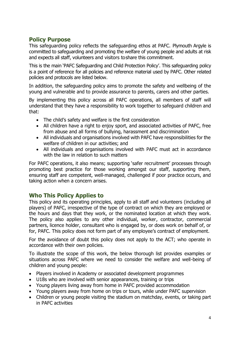## **Policy Purpose**

This safeguarding policy reflects the safeguarding ethos at PAFC. Plymouth Argyle is committed to safeguarding and promoting the welfare of young people and adults at risk and expects all staff, volunteers and visitors toshare this commitment.

This is the main 'PAFC Safeguarding and Child Protection Policy'. This safeguarding policy is a point of reference for all policies and reference material used by PAFC. Other related policies and protocols are listed below.

In addition, the safeguarding policy aims to promote the safety and wellbeing of the young and vulnerable and to provide assurance to parents, carers and other parties.

By implementing this policy across all PAFC operations, all members of staff will understand that they have a responsibility to work together to safeguard children and that:

- The child's safety and welfare is the first consideration
- All children have a right to enjoy sport, and associated activities of PAFC, free from abuse and all forms of bullying, harassment and discrimination
- All individuals and organisations involved with PAFC have responsibilities for the welfare of children in our activities; and
- All individuals and organisations involved with PAFC must act in accordance with the law in relation to such matters

For PAFC operations, it also means; supporting 'safer recruitment' processes through promoting best practice for those working amongst our staff, supporting them, ensuring staff are competent, well-managed, challenged if poor practice occurs, and taking action when a concern arises.

## **Who This Policy Applies to**

This policy and its operating principles, apply to all staff and volunteers (including all players) of PAFC, irrespective of the type of contract on which they are employed or the hours and days that they work, or the nominated location at which they work. The policy also applies to any other individual, worker, contractor, commercial partners, licence holder, consultant who is engaged by, or does work on behalf of, or for, PAFC. This policy does not form part of any employee's contract of employment.

For the avoidance of doubt this policy does not apply to the ACT; who operate in accordance with their own policies.

To illustrate the scope of this work, the below thorough list provides examples or situations across PAFC where we need to consider the welfare and well-being of children and young people:

- Players involved in Academy or associated development programmes
- U18s who are involved with senior appearances, training or trips
- Young players living away from home in PAFC provided accommodation
- Young players away from home on trips or tours, while under PAFC supervision
- Children or young people visiting the stadium on matchday, events, or taking part in PAFC activities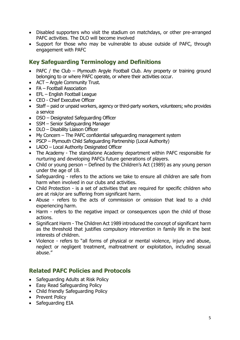- Disabled supporters who visit the stadium on matchdays, or other pre-arranged PAFC activities. The DLO will become involved
- Support for those who may be vulnerable to abuse outside of PAFC, through engagement with PAFC

## **Key Safeguarding Terminology and Definitions**

- PAFC / the Club Plymouth Argyle Football Club. Any property or training ground belonging to or where PAFC operate, or where their activities occur.
- ACT Argyle Community Trust.
- FA Football Association
- EFL English Football League
- CEO Chief Executive Officer
- Staff paid or unpaid workers, agency or third-party workers, volunteers; who provides a service
- DSO Designated Safeguarding Officer
- SSM Senior Safeguarding Manager
- DLO Disability Liaison Officer
- My Concern The PAFC confidential safeguarding management system
- PSCP Plymouth Child Safeguarding Partnership (Local Authority)
- LADO Local Authority Designated Officer
- The Academy The standalone Academy department within PAFC responsible for nurturing and developing PAFCs future generations of players.
- Child or young person Defined by the Children's Act (1989) as any young person under the age of 18.
- Safeguarding refers to the actions we take to ensure all children are safe from harm when involved in our clubs and activities.
- Child Protection is a set of activities that are required for specific children who are at risk/or are suffering from significant harm.
- Abuse refers to the acts of commission or omission that lead to a child experiencing harm.
- Harm refers to the negative impact or consequences upon the child of those actions.
- Significant Harm The Children Act 1989 introduced the concept of significant harm as the threshold that justifies compulsory intervention in family life in the best interests of children.
- Violence refers to "all forms of physical or mental violence, injury and abuse, neglect or negligent treatment, maltreatment or exploitation, including sexual abuse."

## **Related PAFC Policies and Protocols**

- Safeguarding Adults at Risk Policy
- Easy Read Safeguarding Policy
- Child friendly Safeguarding Policy
- Prevent Policy
- Safeguarding EIA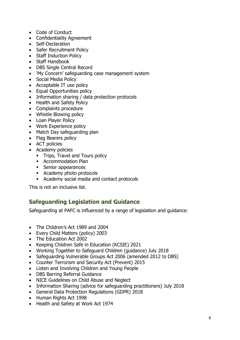- Code of Conduct
- Confidentiality Agreement
- Self-Declaration
- Safer Recruitment Policy
- Staff Induction Policy
- Staff Handbook
- DBS Single Central Record
- 'My Concern' safeguarding case management system
- Social Media Policy
- Acceptable IT use policy
- Equal Opportunities policy
- Information sharing / data protection protocols
- Health and Safety Policy
- Complaints procedure
- Whistle Blowing policy
- Loan Player Policy
- Work Experience policy
- Match Day safeguarding plan
- Flag Bearers policy
- ACT policies
- Academy policies
	- **•** Trips, Travel and Tours policy
	- Accommodation Plan
	- Senior appearances
	- Academy photo protocols
	- Academy social media and contact protocols

This is not an inclusive list.

## **Safeguarding Legislation and Guidance**

Safeguarding at PAFC is influenced by a range of legislation and guidance:

- The Children's Act 1989 and 2004
- Every Child Matters (policy) 2003
- The Education Act 2002
- Keeping Children Safe in Education (KCSIE) 2021
- Working Together to Safeguard Children (guidance) July 2018
- Safeguarding Vulnerable Groups Act 2006 (amended 2012 to DBS)
- Counter Terrorism and Security Act (Prevent) 2015
- Listen and Involving Children and Young People
- DBS Barring Referral Guidance
- NICE Guidelines on Child Abuse and Neglect
- Information Sharing (advice for safeguarding practitioners) July 2018
- General Data Protection Regulations (GDPR) 2018
- Human Rights Act 1998
- Health and Safety at Work Act 1974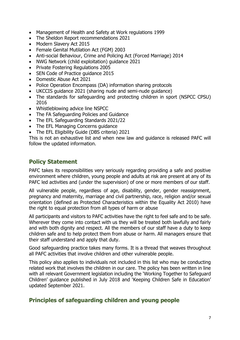- Management of Health and Safety at Work regulations 1999
- The Sheldon Report recommendations 2021
- Modern Slavery Act 2015
- Female Genital Mutilation Act (FGM) 2003
- Anti-social Behaviour, Crime and Policing Act (Forced Marriage) 2014
- NWG Network (child exploitation) guidance 2021
- Private Fostering Regulations 2005
- SEN Code of Practice guidance 2015
- Domestic Abuse Act 2021
- Police Operation Encompass (DA) information sharing protocols
- UKCCIS guidance 2021 (sharing nude and semi-nude guidance)
- The standards for safeguarding and protecting children in sport (NSPCC CPSU) 2016
- Whistleblowing advice line NSPCC
- The FA Safeguarding Policies and Guidance
- The EFL Safeguarding Standards 2021/22
- The EFL Managing Concerns guidance
- The EFL Eligibility Guide (DBS criteria) 2021

This is not an exhaustive list and when new law and guidance is released PAFC will follow the updated information.

## **Policy Statement**

PAFC takes its responsibilities very seriously regarding providing a safe and positive environment where children, young people and adults at risk are present at any of its PAFC led activities and (under the supervision) of one or more members of our staff.

All vulnerable people, regardless of age, disability, gender, gender reassignment, pregnancy and maternity, marriage and civil partnership, race, religion and/or sexual orientation (defined as Protected Characteristics within the Equality Act 2010) have the right to equal protection from all types of harm or abuse

All participants and visitors to PAFC activities have the right to feel safe and to be safe. Wherever they come into contact with us they will be treated both lawfully and fairly and with both dignity and respect. All the members of our staff have a duty to keep children safe and to help protect them from abuse or harm. All managers ensure that their staff understand and apply that duty.

Good safeguarding practice takes many forms. It is a thread that weaves throughout all PAFC activities that involve children and other vulnerable people.

This policy also applies to individuals not included in this list who may be conducting related work that involves the children in our care. The policy has been written in line with all relevant Government legislation including the 'Working Together to Safeguard Children' guidance published in July 2018 and 'Keeping Children Safe in Education' updated September 2021.

## **Principles of safeguarding children and young people**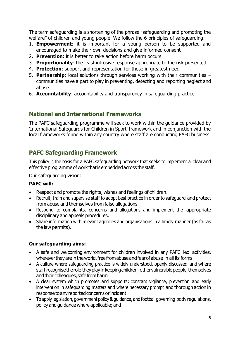The term safeguarding is a shortening of the phrase "safeguarding and promoting the welfare" of children and young people. We follow the 6 principles of safeguarding:

- 1. **Empowerment**: it is important for a young person to be supported and encouraged to make their own decisions and give informed consent
- 2. **Prevention**: it is better to take action before harm occurs
- 3. **Proportionality**: the least intrusive response appropriate to the risk presented
- 4. **Protection**: support and representation for those in greatest need
- 5. **Partnership**: local solutions through services working with their communities communities have a part to play in preventing, detecting and reporting neglect and abuse
- 6. **Accountability**: accountability and transparency in safeguarding practice

## **National and International Frameworks**

The PAFC safeguarding programme will seek to work within the guidance provided by 'International Safeguards for Children in Sport' framework and in conjunction with the local frameworks found within any country where staff are conducting PAFC business.

## **PAFC Safeguarding Framework**

This policy is the basis for a PAFC safeguarding network that seeks to implement a clear and effective programme ofworkthatisembeddedacross thestaff.

Our safeguarding vision:

#### **PAFC will:**

- Respect and promote the rights, wishes and feelings of children.
- Recruit, train and supervise staff to adopt best practice in order to safeguard and protect from abuse and themselves from false allegations.
- Respond to complaints, concerns and allegations and implement the appropriate disciplinary and appeals procedures.
- Share information with relevant agencies and organisations in a timely manner (as far as the law permits).

#### **Our safeguarding aims:**

- A safe and welcoming environment for children involved in any PAFC led activities, wherever they are in the world, free from abuse and fear of abuse in all its forms
- A culture where safeguarding practice is widely understood, openly discussed and where staff recognise the role they play in keeping children, other vulnerable people, themselves and their colleagues, safe from harm
- A clear system which promotes and supports; constant vigilance, prevention and early intervention in safeguarding matters and where necessary prompt and thorough action in response to any reported concerns or incident
- To apply legislation, government policy & guidance, and football governing body regulations, policy and guidance where applicable; and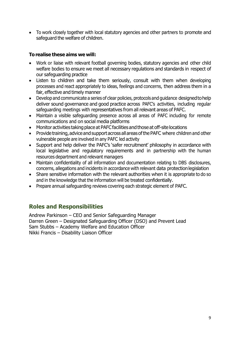• To work closely together with local statutory agencies and other partners to promote and safeguard the welfare of children.

#### **Torealise these aims we will:**

- Work or liaise with relevant football governing bodies, statutory agencies and other child welfare bodies to ensure we meet all necessary regulations and standards in respect of our safeguarding practice
- Listen to children and take them seriously, consult with them when developing processes and react appropriately to ideas, feelings and concerns, then address them in a fair, effective and timely manner
- Develop and communicate a series of clear policies, protocols and guidance designedtohelp deliver sound governance and good practice across PAFC's activities, including regular safeguarding meetings with representatives from all relevant areas of PAFC.
- Maintain a visible safeguarding presence across all areas of PAFC including for remote communications and on social media platforms
- Monitor activities taking place at PAFC facilities and those at off-site locations
- Provide training, advice and support across all areas of the PAFC where children and other vulnerable people are involved in any PAFC led activity
- Support and help deliver the PAFC's 'safer recruitment' philosophy in accordance with local legislative and regulatory requirements and in partnership with the human resources department and relevant managers
- Maintain confidentiality of all information and documentation relating to DBS disclosures, concerns, allegations and incidents in accordance with relevant data protectionlegislation
- Share sensitive information with the relevant authorities when it is appropriate to do so and in the knowledge that the information will be treated confidentially.
- Prepare annual safeguarding reviews covering each strategic element of PAFC.

## **Roles and Responsibilities**

Andrew Parkinson – CEO and Senior Safeguarding Manager Darren Green – Designated Safeguarding Officer (DSO) and Prevent Lead Sam Stubbs – Academy Welfare and Education Officer Nikki Francis – Disability Liaison Officer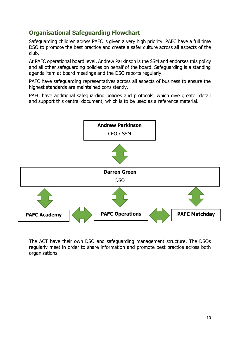## **Organisational Safeguarding Flowchart**

Safeguarding children across PAFC is given a very high priority. PAFC have a full time DSO to promote the best practice and create a safer culture across all aspects of the club.

At PAFC operational board level, Andrew Parkinson is the SSM and endorses this policy and all other safeguarding policies on behalf of the board. Safeguarding is a standing agenda item at board meetings and the DSO reports regularly.

PAFC have safeguarding representatives across all aspects of business to ensure the highest standards are maintained consistently.

PAFC have additional safeguarding policies and protocols, which give greater detail and support this central document, which is to be used as a reference material.



The ACT have their own DSO and safeguarding management structure. The DSOs regularly meet in order to share information and promote best practice across both organisations.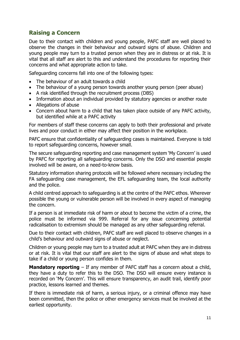## **Raising a Concern**

Due to their contact with children and young people, PAFC staff are well placed to observe the changes in their behaviour and outward signs of abuse. Children and young people may turn to a trusted person when they are in distress or at risk. It is vital that all staff are alert to this and understand the procedures for reporting their concerns and what appropriate action to take.

Safeguarding concerns fall into one of the following types:

- The behaviour of an adult towards a child
- The behaviour of a young person towards another young person (peer abuse)
- A risk identified through the recruitment process (DBS)
- Information about an individual provided by statutory agencies or another route
- Allegations of abuse
- Concern about harm to a child that has taken place outside of any PAFC activity, but identified while at a PAFC activity

For members of staff these concerns can apply to both their professional and private lives and poor conduct in either may affect their position in the workplace.

PAFC ensure that confidentiality of safeguarding cases is maintained. Everyone is told to report safeguarding concerns, however small.

The secure safeguarding reporting and case management system 'My Concern' is used by PAFC for reporting all safeguarding concerns. Only the DSO and essential people involved will be aware, on a need-to-know basis.

Statutory information sharing protocols will be followed where necessary including the FA safeguarding case management, the EFL safeguarding team, the local authority and the police.

A child centred approach to safeguarding is at the centre of the PAFC ethos. Wherever possible the young or vulnerable person will be involved in every aspect of managing the concern.

If a person is at immediate risk of harm or about to become the victim of a crime, the police must be informed via 999. Referral for any issue concerning potential radicalisation to extremism should be managed as any other safeguarding referral.

Due to their contact with children, PAFC staff are well placed to observe changes in a child's behaviour and outward signs of abuse or neglect.

Children or young people may turn to a trusted adult at PAFC when they are in distress or at risk. It is vital that our staff are alert to the signs of abuse and what steps to take if a child or young person confides in them.

**Mandatory reporting** – If any member of PAFC staff has a concern about a child, they have a duty to refer this to the DSO. The DSO will ensure every instance is recorded on 'My Concern'. This will ensure transparency, an audit trail, identify poor practice, lessons learned and themes.

If there is immediate risk of harm, a serious injury, or a criminal offence may have been committed, then the police or other emergency services must be involved at the earliest opportunity.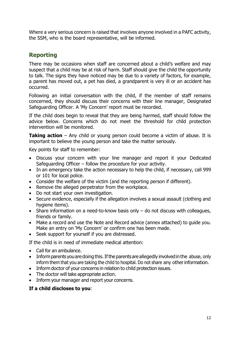Where a very serious concern is raised that involves anyone involved in a PAFC activity, the SSM, who is the board representative, will be informed.

## **Reporting**

There may be occasions when staff are concerned about a child's welfare and may suspect that a child may be at risk of harm. Staff should give the child the opportunity to talk. The signs they have noticed may be due to a variety of factors, for example, a parent has moved out, a pet has died, a grandparent is very ill or an accident has occurred.

Following an initial conversation with the child, if the member of staff remains concerned, they should discuss their concerns with their line manager, Designated Safeguarding Officer. A 'My Concern' report must be recorded.

If the child does begin to reveal that they are being harmed, staff should follow the advice below. Concerns which do not meet the threshold for child protection intervention will be monitored.

**Taking action** – Any child or young person could become a victim of abuse. It is important to believe the young person and take the matter seriously.

Key points for staff to remember:

- Discuss your concern with your line manager and report it your Dedicated Safeguarding Officer – follow the procedure for your activity.
- In an emergency take the action necessary to help the child, if necessary, call 999 or 101 for local police.
- Consider the welfare of the victim (and the reporting person if different).
- Remove the alleged perpetrator from the workplace.
- Do not start your own investigation.
- Secure evidence, especially if the allegation involves a sexual assault (clothing and hygiene items).
- Share information on a need-to-know basis only do not discuss with colleagues, friends or family.
- Make a record and use the Note and Record advice (annex attached) to guide you. Make an entry on 'My Concern' or confirm one has been made.
- Seek support for yourself if you are distressed.

If the child is in need of immediate medical attention:

- Call for an ambulance.
- Inform parents you are doing this. If the parents are allegedly involved in the abuse, only inform them that you are taking the child to hospital. Do not share any other information.
- Inform doctor of your concerns in relation to child protection issues.
- The doctor will take appropriate action.
- Inform your manager and report your concerns.

#### **If a child discloses to you**: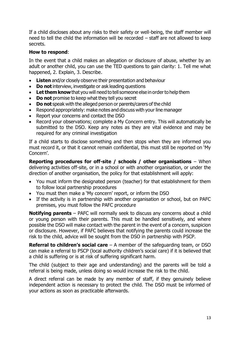If a child discloses about any risks to their safety or well-being, the staff member will need to tell the child the information will be recorded – staff are not allowed to keep secrets.

#### **How to respond**:

In the event that a child makes an allegation or disclosure of abuse, whether by an adult or another child, you can use the TED questions to gain clarity: 1. Tell me what happened, 2. Explain, 3. Describe.

- **Listen** and/or closely observe their presentation and behaviour
- **Do not** interview, investigate or ask leading questions
- Let them know that you will need to tell someone else in order to help them
- **Do not** promise to keep what they tell you secret
- **Do not** speak with the alleged person or parents/carers of the child
- Respond appropriately: make notes and discuss with your line manager
- Report your concerns and contact the DSO
- Record your observations; complete a My Concern entry. This will automatically be submitted to the DSO. Keep any notes as they are vital evidence and may be required for any criminal investigation

If a child starts to disclose something and then stops when they are informed you must record it, or that it cannot remain confidential, this must still be reported on 'My Concern'.

**Reporting procedures for off-site / schools / other organisations** – When delivering activities off-site, or in a school or with another organisation, or under the direction of another organisation, the policy for that establishment will apply:

- You must inform the designated person (teacher) for that establishment for them to follow local partnership procedures
- You must then make a 'My concern' report, or inform the DSO
- If the activity is in partnership with another organisation or school, but on PAFC premises, you must follow the PAFC procedure

**Notifying parents** – PAFC will normally seek to discuss any concerns about a child or young person with their parents. This must be handled sensitively, and where possible the DSO will make contact with the parent in the event of a concern, suspicion or disclosure. However, if PAFC believes that notifying the parents could increase the risk to the child, advice will be sought from the DSO in partnership with PSCP.

**Referral to children's social care** – A member of the safeguarding team, or DSO can make a referral to PSCP (local authority children's social care) if it is believed that a child is suffering or is at risk of suffering significant harm.

The child (subject to their age and understanding) and the parents will be told a referral is being made, unless doing so would increase the risk to the child.

A direct referral can be made by any member of staff, if they genuinely believe independent action is necessary to protect the child. The DSO must be informed of your actions as soon as practicable afterwards.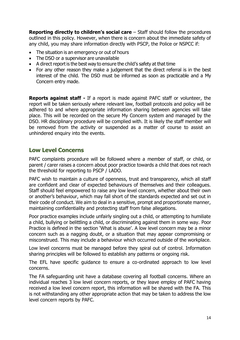**Reporting directly to children's social care** – Staff should follow the procedures outlined in this policy. However, when there is concern about the immediate safety of any child, you may share information directly with PSCP, the Police or NSPCC if:

- The situation is an emergency or out of hours
- The DSO or a supervisor are unavailable
- A direct report is the best way to ensure the child's safety at that time
- For any other reason they make a judgement that the direct referral is in the best interest of the child. The DSO must be informed as soon as practicable and a My Concern entry made.

**Reports against staff -** If a report is made against PAFC staff or volunteer, the report will be taken seriously where relevant law, football protocols and policy will be adhered to and where appropriate information sharing between agencies will take place. This will be recorded on the secure My Concern system and managed by the DSO. HR disciplinary procedure will be complied with. It is likely the staff member will be removed from the activity or suspended as a matter of course to assist an unhindered enquiry into the events.

#### **Low Level Concerns**

PAFC complaints procedure will be followed where a member of staff, or child, or parent / carer raises a concern about poor practice towards a child that does not reach the threshold for reporting to PSCP / LADO.

PAFC wish to maintain a culture of openness, trust and transparency, which all staff are confident and clear of expected behaviours of themselves and their colleagues. Staff should feel empowered to raise any low level concern, whether about their own or another's behaviour, which may fall short of the standards expected and set out in their code of conduct. We aim to deal in a sensitive, prompt and proportionate manner, maintaining confidentiality and protecting staff from false allegations.

Poor practice examples include unfairly singling out a child, or attempting to humiliate a child, bullying or belittling a child, or discriminating against them in some way. Poor Practice is defined in the section 'What is abuse'. A low level concern may be a minor concern such as a nagging doubt, or a situation that may appear compromising or misconstrued. This may include a behaviour which occurred outside of the workplace.

Low level concerns must be managed before they spiral out of control. Information sharing principles will be followed to establish any patterns or ongoing risk.

The EFL have specific guidance to ensure a co-ordinated approach to low level concerns.

The FA safeguarding unit have a database covering all football concerns. Where an individual reaches 3 low level concern reports, or they leave employ of PAFC having received a low level concern report, this information will be shared with the FA. This is not withstanding any other appropriate action that may be taken to address the low level concern reports by PAFC.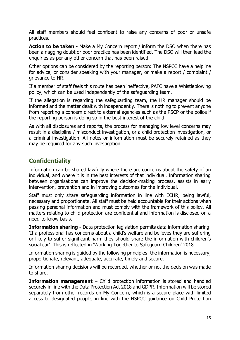All staff members should feel confident to raise any concerns of poor or unsafe practices.

**Action to be taken** - Make a My Concern report / inform the DSO when there has been a nagging doubt or poor practice has been identified. The DSO will then lead the enquiries as per any other concern that has been raised.

Other options can be considered by the reporting person: The NSPCC have a helpline for advice, or consider speaking with your manager, or make a report / complaint / grievance to HR.

If a member of staff feels this route has been ineffective, PAFC have a Whistleblowing policy, which can be used independently of the safeguarding team.

If the allegation is regarding the safeguarding team, the HR manager should be informed and the matter dealt with independently. There is nothing to prevent anyone from reporting a concern direct to external agencies such as the PSCP or the police if the reporting person is doing so in the best interest of the child.

As with all disclosures and reports, the process for managing low level concerns may result in a discipline / misconduct investigation, or a child protection investigation, or a criminal investigation. All notes or information must be securely retained as they may be required for any such investigation.

## **Confidentiality**

Information can be shared lawfully where there are concerns about the safety of an individual, and where it is in the best interests of that individual. Information sharing between organisations can improve the decision-making process, assists in early intervention, prevention and in improving outcomes for the individual.

Staff must only share safeguarding information in line with ECHR, being lawful, necessary and proportionate. All staff must be held accountable for their actions when passing personal information and must comply with the framework of this policy. All matters relating to child protection are confidential and information is disclosed on a need-to-know basis.

**Information sharing -** Data protection legislation permits data information sharing: 'If a professional has concerns about a child's welfare and believes they are suffering or likely to suffer significant harm they should share the information with children's social car'. This is reflected in 'Working Together to Safeguard Children' 2018.

Information sharing is guided by the following principles: the information is necessary, proportionate, relevant, adequate, accurate, timely and secure.

Information sharing decisions will be recorded, whether or not the decision was made to share.

**Information management** – Child protection information is stored and handled securely in line with the Data Protection Act 2018 and GDPR. Information will be stored separately from other records on My Concern, which is a secure place with limited access to designated people, in line with the NSPCC guidance on Child Protection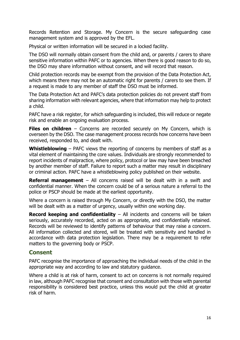Records Retention and Storage. My Concern is the secure safeguarding case management system and is approved by the EFL.

Physical or written information will be secured in a locked facility.

The DSO will normally obtain consent from the child and, or parents / carers to share sensitive information within PAFC or to agencies. When there is good reason to do so, the DSO may share information without consent, and will record that reason.

Child protection records may be exempt from the provision of the Data Protection Act, which means there may not be an automatic right for parents / carers to see them. If a request is made to any member of staff the DSO must be informed.

The Data Protection Act and PAFC's data protection policies do not prevent staff from sharing information with relevant agencies, where that information may help to protect a child.

PAFC have a risk register, for which safeguarding is included, this will reduce or negate risk and enable an ongoing evaluation process.

**Files on children** – Concerns are recorded securely on My Concern, which is overseen by the DSO. The case management process records how concerns have been received, responded to, and dealt with.

**Whistleblowing** – PAFC views the reporting of concerns by members of staff as a vital element of maintaining the core values. Individuals are strongly recommended to report incidents of malpractice, where policy, protocol or law may have been breached by another member of staff. Failure to report such a matter may result in disciplinary or criminal action. PAFC have a whistleblowing policy published on their website.

**Referral management** – All concerns raised will be dealt with in a swift and confidential manner. When the concern could be of a serious nature a referral to the police or PSCP should be made at the earliest opportunity.

Where a concern is raised through My Concern, or directly with the DSO, the matter will be dealt with as a matter of urgency, usually within one working day.

**Record keeping and confidentiality** – All incidents and concerns will be taken seriously, accurately recorded, acted on as appropriate, and confidentially retained. Records will be reviewed to identify patterns of behaviour that may raise a concern. All information collected and stored, will be treated with sensitivity and handled in accordance with data protection legislation. There may be a requirement to refer matters to the governing body or PSCP.

#### **Consent**

PAFC recognise the importance of approaching the individual needs of the child in the appropriate way and according to law and statutory guidance.

Where a child is at risk of harm, consent to act on concerns is not normally required in law, although PAFC recognise that consent and consultation with those with parental responsibility is considered best practice, unless this would put the child at greater risk of harm.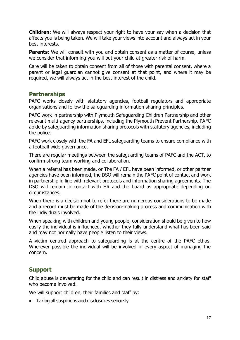**Children:** We will always respect your right to have your say when a decision that affects you is being taken. We will take your views into account and always act in your best interests.

**Parents:** We will consult with you and obtain consent as a matter of course, unless we consider that informing you will put your child at greater risk of harm.

Care will be taken to obtain consent from all of those with parental consent, where a parent or legal guardian cannot give consent at that point, and where it may be required, we will always act in the best interest of the child.

#### **Partnerships**

PAFC works closely with statutory agencies, football regulators and appropriate organisations and follow the safeguarding information sharing principles.

PAFC work in partnership with Plymouth Safeguarding Children Partnership and other relevant multi-agency partnerships, including the Plymouth Prevent Partnership. PAFC abide by safeguarding information sharing protocols with statutory agencies, including the police.

PAFC work closely with the FA and EFL safeguarding teams to ensure compliance with a football wide governance.

There are regular meetings between the safeguarding teams of PAFC and the ACT, to confirm strong team working and collaboration.

When a referral has been made, or The FA / EFL have been informed, or other partner agencies have been informed, the DSO will remain the PAFC point of contact and work in partnership in line with relevant protocols and information sharing agreements. The DSO will remain in contact with HR and the board as appropriate depending on circumstances.

When there is a decision not to refer there are numerous considerations to be made and a record must be made of the decision-making process and communication with the individuals involved.

When speaking with children and young people, consideration should be given to how easily the individual is influenced, whether they fully understand what has been said and may not normally have people listen to their views.

A victim centred approach to safeguarding is at the centre of the PAFC ethos. Wherever possible the individual will be involved in every aspect of managing the concern.

## **Support**

Child abuse is devastating for the child and can result in distress and anxiety for staff who become involved.

We will support children, their families and staff by:

• Taking all suspicions and disclosures seriously.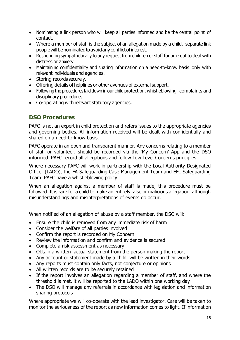- Nominating a link person who will keep all parties informed and be the central point of contact.
- Where a member of staff is the subject of an allegation made by a child, separate link peoplewillbenominatedtoavoidanyconflictofinterest.
- Responding sympathetically to any request from children or staff for time out to deal with distress or anxiety.
- Maintaining confidentiality and sharing information on a need-to-know basis only with relevant individuals and agencies.
- Storing records securely.
- Offering details of helplines or other avenues of external support.
- Following the procedures laid down in our child protection, whistleblowing, complaints and disciplinary procedures.
- Co-operating with relevant statutory agencies.

#### **DSO Procedures**

PAFC is not an expert in child protection and refers issues to the appropriate agencies and governing bodies. All information received will be dealt with confidentially and shared on a need-to-know basis.

PAFC operate in an open and transparent manner. Any concerns relating to a member of staff or volunteer, should be recorded via the 'My Concern' App and the DSO informed. PAFC record all allegations and follow Low Level Concerns principles.

Where necessary PAFC will work in partnership with the Local Authority Designated Officer (LADO), the FA Safeguarding Case Management Team and EFL Safeguarding Team. PAFC have a whistleblowing policy.

When an allegation against a member of staff is made, this procedure must be followed. It is rare for a child to make an entirely false or malicious allegation, although misunderstandings and misinterpretations of events do occur.

When notified of an allegation of abuse by a staff member, the DSO will:

- Ensure the child is removed from any immediate risk of harm
- Consider the welfare of all parties involved
- Confirm the report is recorded on My Concern
- Review the information and confirm and evidence is secured
- Complete a risk assessment as necessary
- Obtain a written factual statement from the person making the report
- Any account or statement made by a child, will be written in their words.
- Any reports must contain only facts, not conjecture or opinions
- All written records are to be securely retained
- If the report involves an allegation regarding a member of staff, and where the threshold is met, it will be reported to the LADO within one working day
- The DSO will manage any referrals in accordance with legislation and information sharing protocols

Where appropriate we will co-operate with the lead investigator. Care will be taken to monitor the seriousness of the report as new information comes to light. If information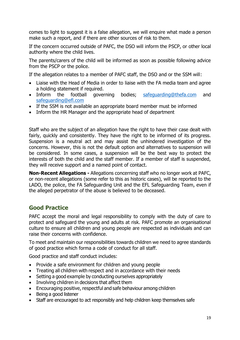comes to light to suggest it is a false allegation, we will enquire what made a person make such a report, and if there are other sources of risk to them.

If the concern occurred outside of PAFC, the DSO will inform the PSCP, or other local authority where the child lives.

The parents/carers of the child will be informed as soon as possible following advice from the PSCP or the police.

If the allegation relates to a member of PAFC staff, the DSO and or the SSM will:

- Liaise with the Head of Media in order to liaise with the FA media team and agree a holding statement if required.
- Inform the football governing bodies; [safeguarding@thefa.com](mailto:safeguarding@thefa.com) and [safeguarding@efl.com](mailto:safeguarding@efl.com)
- If the SSM is not available an appropriate board member must be informed
- Inform the HR Manager and the appropriate head of department

Staff who are the subject of an allegation have the right to have their case dealt with fairly, quickly and consistently. They have the right to be informed of its progress. Suspension is a neutral act and may assist the unhindered investigation of the concerns. However, this is not the default option and alternatives to suspension will be considered. In some cases, a suspension will be the best way to protect the interests of both the child and the staff member. If a member of staff is suspended, they will receive support and a named point of contact.

**Non-Recent Allegations -** Allegations concerning staff who no longer work at PAFC, or non-recent allegations (some refer to this as historic cases), will be reported to the LADO, the police, the FA Safeguarding Unit and the EFL Safeguarding Team, even if the alleged perpetrator of the abuse is believed to be deceased.

## **Good Practice**

PAFC accept the moral and legal responsibility to comply with the duty of care to protect and safeguard the young and adults at risk. PAFC promote an organisational culture to ensure all children and young people are respected as individuals and can raise their concerns with confidence.

To meet and maintain our responsibilities towards children we need to agree standards of good practice which forma a code of conduct for all staff.

Good practice and staff conduct includes:

- Provide a safe environment for children and young people
- Treating all children with respect and in accordance with their needs
- Setting a good example by conducting ourselves appropriately
- Involving children in decisions that affect them
- Encouraging positive, respectful and safe behaviour among children
- Being a good listener
- Staff are encouraged to act responsibly and help children keep themselves safe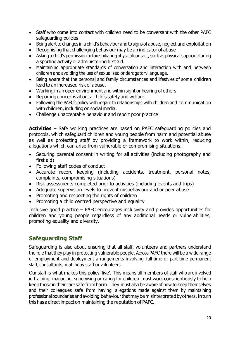- Staff who come into contact with children need to be conversant with the other PAFC safeguarding policies
- Being alert to changes in a child's behaviour and to signs of abuse, neglect and exploitation
- Recognising that challenging behaviour may be an indicator of abuse
- Asking a child's permission before initiating physical contact, such as physical support during a sporting activity or administering first aid.
- Maintaining appropriate standards of conversation and interaction with and between children and avoiding the use of sexualised or derogatory language.
- Being aware that the personal and family circumstances and lifestyles of some children lead to an increased risk of abuse.
- Working in an open environment and within sight or hearing of others.
- Reporting concerns about a child's safety and welfare.
- Following the PAFC's policy with regard to relationships with children and communication with children, including on social media.
- Challenge unacceptable behaviour and report poor practice

**Activities** – Safe working practices are based on PAFC safeguarding policies and protocols, which safeguard children and young people from harm and potential abuse as well as protecting staff by providing a framework to work within, reducing allegations which can arise from vulnerable or compromising situations.

- Securing parental consent in writing for all activities (including photography and first aid)
- Following staff codes of conduct
- Accurate record keeping (including accidents, treatment, personal notes, complaints, compromising situations)
- Risk assessments completed prior to activities (including events and trips)
- Adequate supervision levels to prevent misbehaviour and or peer abuse
- Promoting and respecting the rights of children
- Promoting a child centred perspective and equality

Inclusive good practice – PAFC encourages inclusivity and provides opportunities for children and young people regardless of any additional needs or vulnerabilities, promoting equality and diversity.

## **Safeguarding Staff**

Safeguarding is also about ensuring that all staff, volunteers and partners understand the role that they play in protecting vulnerable people. Across PAFC there will be a wide range of employment and deployment arrangements involving full-time or part-time permanent staff, consultants, matchday staff or volunteers.

Our staff is what makes this policy 'live'. This means all members of staff who are involved in training, managing, supervising or caring for children must work conscientiously to help keep thosein their caresafe from harm.They must also be aware of how to keep themselves and their colleagues safe from having allegations made against them by maintaining professionalboundaries andavoiding behaviourthatmaybemisinterpretedbyothers.Inturn thishasa directimpacton maintaining the reputation of PAFC.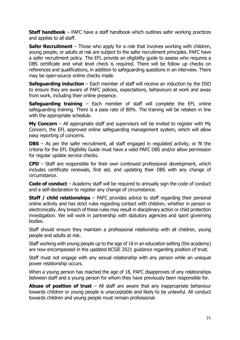**Staff handbook** – PAFC have a staff handbook which outlines safer working practices and applies to all staff.

**Safer Recruitment** – Those who apply for a role that involves working with children, young people, or adults at risk are subject to the safer recruitment principles. PAFC have a safer recruitment policy. The EFL provide an eligibility guide to assess who requires a DBS certificate and what level check is required. There will be follow up checks on references and qualifications, in addition to safeguarding questions in an interview. There may be open-source online checks made.

**Safeguarding induction** – Each member of staff will receive an induction by the DSO to ensure they are aware of PAFC policies, expectations, behaviours at work and away from work, including their online presence.

**Safeguarding training** – Each member of staff will complete the EFL online safeguarding training. There is a pass rate of 80%. The training will be retaken in line with the appropriate schedule.

**My Concern** – All appropriate staff and supervisors will be invited to register with My Concern, the EFL approved online safeguarding management system, which will allow easy reporting of concerns.

**DBS** – As per the safer recruitment, all staff engaged in regulated activity, or fit the criteria for the EFL Eligibility Guide must have a valid PAFC DBS and/or allow permission for regular update service checks.

**CPD** – Staff are responsible for their own continued professional development, which includes certificate renewals, first aid, and updating their DBS with any change of circumstance.

**Code of conduct** – Academy staff will be required to annually sign the code of conduct and a self-declaration to register any change of circumstance.

**Staff / child relationships** – PAFC provides advice to staff regarding their personal online activity and has strict rules regarding contact with children, whether in person or electronically. Any breach of these rules may result in disciplinary action or child protection investigation. We will work in partnership with statutory agencies and sport governing bodies.

Staff should ensure they maintain a professional relationship with all children, young people and adults at risk.

Staff working with young people up to the age of 18 in an education setting (the academy) are now encompassed in the updated KCSIE 2021 guidance regarding position of trust.

Staff must not engage with any sexual relationship with any person while an unequal power relationship occurs.

When a young person has reached the age of 18, PAFC disapproves of any relationships between staff and a young person for whom they have previously been responsible for.

**Abuse of position of trust** – All staff are aware that any inappropriate behaviour towards children or young people is unacceptable and likely to be unlawful. All conduct towards children and young people must remain professional.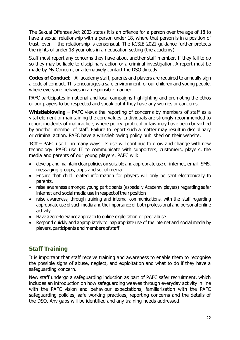The Sexual Offences Act 2003 states it is an offence for a person over the age of 18 to have a sexual relationship with a person under 18, where that person is in a position of trust, even if the relationship is consensual. The KCSIE 2021 guidance further protects the rights of under 18-year-olds in an education setting (the academy).

Staff must report any concerns they have about another staff member. If they fail to do so they may be liable to disciplinary action or a criminal investigation. A report must be made by My Concern, or alternatively contact the DSO directly.

**Codes of Conduct** – All academy staff, parents and players are required to annually sign a code of conduct. This encourages a safe environment for our children and young people, where everyone behaves in a responsible manner.

PAFC participates in national and local campaigns highlighting and promoting the ethos of our players to be respected and speak out if they have any worries or concerns.

**Whistleblowing** – PAFC views the reporting of concerns by members of staff as a vital element of maintaining the core values. Individuals are strongly recommended to report incidents of malpractice, where policy, protocol or law may have been breached by another member of staff. Failure to report such a matter may result in disciplinary or criminal action. PAFC have a whistleblowing policy published on their website.

**ICT** – PAFC use IT in many ways, its use will continue to grow and change with new technology. PAFC use IT to communicate with supporters, customers, players, the media and parents of our young players. PAFC will:

- develop and maintain clear policies on suitable and appropriate use of internet, email, SMS, messaging groups, apps and social media
- Ensure that child related information for players will only be sent electronically to parents.
- raise awareness amongst young participants (especially Academy players) regarding safer internet and social media use in respect of their position
- raise awareness, through training and internal communications, with the staff regarding appropriate use of such media and the importance of both professional and personal online activity
- Have a zero-tolerance approach to online exploitation or peer abuse
- Respond quickly and appropriately to inappropriate use of the internet and social media by players, participants and members of staff.

## **Staff Training**

It is important that staff receive training and awareness to enable them to recognise the possible signs of abuse, neglect, and exploitation and what to do if they have a safeguarding concern.

New staff undergo a safeguarding induction as part of PAFC safer recruitment, which includes an introduction on how safeguarding weaves through everyday activity in line with the PAFC vision and behaviour expectations, familiarisation with the PAFC safeguarding policies, safe working practices, reporting concerns and the details of the DSO. Any gaps will be identified and any training needs addressed.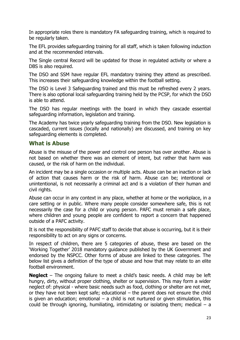In appropriate roles there is mandatory FA safeguarding training, which is required to be regularly taken.

The EFL provides safeguarding training for all staff, which is taken following induction and at the recommended intervals.

The Single central Record will be updated for those in regulated activity or where a DBS is also required.

The DSO and SSM have regular EFL mandatory training they attend as prescribed. This increases their safeguarding knowledge within the football setting.

The DSO is Level 3 Safeguarding trained and this must be refreshed every 2 years. There is also optional local safeguarding training held by the PCSP, for which the DSO is able to attend.

The DSO has regular meetings with the board in which they cascade essential safeguarding information, legislation and training.

The Academy has twice yearly safeguarding training from the DSO. New legislation is cascaded, current issues (locally and nationally) are discussed, and training on key safeguarding elements is completed.

#### **What is Abuse**

Abuse is the misuse of the power and control one person has over another. Abuse is not based on whether there was an element of intent, but rather that harm was caused, or the risk of harm on the individual.

An incident may be a single occasion or multiple acts. Abuse can be an inaction or lack of action that causes harm or the risk of harm. Abuse can be; intentional or unintentional, is not necessarily a criminal act and is a violation of their human and civil rights.

Abuse can occur in any context in any place, whether at home or the workplace, in a care setting or in public. Where many people consider somewhere safe, this is not necessarily the case for a child or young person. PAFC must remain a safe place, where children and young people are confident to report a concern that happened outside of a PAFC activity.

It is not the responsibility of PAFC staff to decide that abuse is occurring, but it is their responsibility to act on any signs or concerns.

In respect of children, there are 5 categories of abuse, these are based on the 'Working Together' 2018 mandatory guidance published by the UK Government and endorsed by the NSPCC. Other forms of abuse are linked to these categories. The below list gives a definition of the type of abuse and how that may relate to an elite football environment.

**Neglect** – The ongoing failure to meet a child's basic needs. A child may be left hungry, dirty, without proper clothing, shelter or supervision. This may form a wider neglect of: physical - where basic needs such as food, clothing or shelter are not met, or they have not been kept safe; educational – the parent does not ensure the child is given an education; emotional  $-$  a child is not nurtured or given stimulation, this could be through ignoring, humiliating, intimidating or isolating them; medical  $-$  a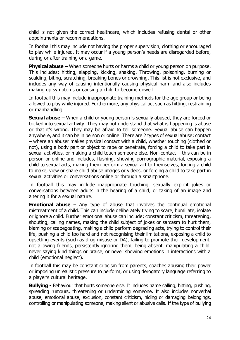child is not given the correct healthcare, which includes refusing dental or other appointments or recommendations.

In football this may include not having the proper supervision, clothing or encouraged to play while injured. It may occur if a young person's needs are disregarded before, during or after training or a game.

**Physical abuse –** When someone hurts or harms a child or young person on purpose. This includes; hitting, slapping, kicking, shaking. Throwing, poisoning, burning or scalding, biting, scratching, breaking bones or drowning. This list is not exclusive, and includes any way of causing intentionally causing physical harm and also includes making up symptoms or causing a child to become unwell.

In football this may include inappropriate training methods for the age group or being allowed to play while injured. Furthermore, any physical act such as hitting, restraining or manhandling.

**Sexual abuse –** When a child or young person is sexually abused, they are forced or tricked into sexual activity. They may not understand that what is happening is abuse or that it's wrong. They may be afraid to tell someone. Sexual abuse can happen anywhere, and it can be in person or online. There are 2 types of sexual abuse; contact – where an abuser makes physical contact with a child, whether touching (clothed or not), using a body part or object to rape or penetrate, forcing a child to take part in sexual activities, or making a child touch someone else. Non-contact – this can be in person or online and includes, flashing, showing pornographic material, exposing a child to sexual acts, making them perform a sexual act to themselves, forcing a child to make, view or share child abuse images or videos, or forcing a child to take part in sexual activities or conversations online or through a smartphone.

In football this may include inappropriate touching, sexually explicit jokes or conversations between adults in the hearing of a child, or taking of an image and altering it for a sexual nature.

**Emotional abuse** – Any type of abuse that involves the continual emotional mistreatment of a child. This can include deliberately trying to scare, humiliate, isolate or ignore a child. Further emotional abuse can include; constant criticism, threatening, shouting, calling names, making the child subject of jokes or sarcasm to hurt them, blaming or scapegoating, making a child perform degrading acts, trying to control their life, pushing a child too hard and not recognising their limitations, exposing a child to upsetting events (such as drug misuse or DA), failing to promote their development, not allowing friends, persistently ignoring them, being absent, manipulating a child, never saying kind things or praise, or never showing emotions in interactions with a child (emotional neglect).

In football this may be constant criticism from parents, coaches abusing their power or imposing unrealistic pressure to perform, or using derogatory language referring to a player's cultural heritage.

**Bullying -** Behaviour that hurts someone else. It includes name calling, hitting, pushing, spreading rumours, threatening or undermining someone. It also includes nonverbal abuse, emotional abuse, exclusion, constant criticism, hiding or damaging belongings, controlling or manipulating someone, making silent or abusive calls. If the type of bullying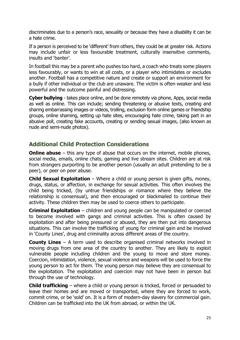discriminates due to a person's race, sexuality or because they have a disability it can be a hate crime.

If a person is perceived to be 'different' from others, they could be at greater risk. Actions may include unfair or less favourable treatment, culturally insensitive comments, insults and 'banter'.

In football this may be a parent who pushes too hard, a coach who treats some players less favourably, or wants to win at all costs, or a player who intimidates or excludes another. Football has a competitive nature and create or support an environment for a bully if other individual or the club are unaware. The victim is often weaker and less powerful and the outcome painful and distressing.

**Cyber bullying** - takes place online, and be done remotely via phone, Apps, social media as well as online. This can include; sending threatening or abusive texts, creating and sharing embarrassing images or videos, trolling, exclusion form online games or friendship groups, online shaming, setting up hate sites, encouraging hate crime, taking part in an abusive poll, creating fake accounts, creating or sending sexual images, (also known as nude and semi-nude photos).

## **Additional Child Protection Considerations**

**Online abuse** – this any type of abuse that occurs on the internet, mobile phones, social media, emails, online chats, gaming and live stream sites. Children are at risk from strangers purporting to be another person (usually an adult pretending to be a peer), or peer on peer abuse.

**Child Sexual Exploitation** – Where a child or young person is given gifts, money, drugs, status, or affection, in exchange for sexual activities. This often involves the child being tricked, (by untrue friendships or romance where they believe the relationship is consensual), and then encouraged or blackmailed to continue their activity. These children then may be used to coerce others to participate.

**Criminal Exploitation** – children and young people can be manipulated or coerced to become involved with gangs and criminal activities. This is often caused by exploitation and after being pressured or abused, they are then put into dangerous situations. This can involve the trafficking of young for criminal gain and be involved in 'County Lines', drug and criminality across different areas of the country.

**County Lines** – A term used to describe organised criminal networks involved in moving drugs from one area of the country to another. They are likely to exploit vulnerable people including children and the young to move and store money. Coercion, intimidation, violence, sexual violence and weapons will be used to force the young person to act for them. The young person may believe they are consensual to the exploitation. The exploitation and coercion may not have been in person but through the use of technology.

**Child trafficking** – where a child or young person is tricked, forced or persuaded to leave their homes and are moved or transported, where they are forced to work, commit crime, or be 'sold' on. It is a form of modern-day slavery for commercial gain. Children can be trafficked into the UK from abroad, or within the UK.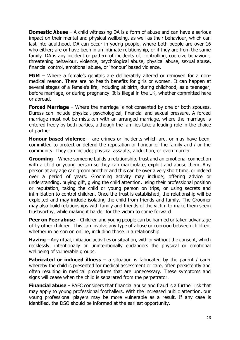**Domestic Abuse** – A child witnessing DA is a form of abuse and can have a serious impact on their mental and physical wellbeing, as well as their behaviour, which can last into adulthood. DA can occur in young people, where both people are over 16 who either; are or have been in an intimate relationship, or if they are from the same family. DA is any incident or pattern of incidents of; controlling, coercive behaviour, threatening behaviour, violence, psychological abuse, physical abuse, sexual abuse, financial control, emotional abuse, or 'honour' based violence.

**FGM** – Where a female's genitals are deliberately altered or removed for a nonmedical reason. There are no health benefits for girls or women. It can happen at several stages of a female's life, including at birth, during childhood, as a teenager, before marriage, or during pregnancy. It is illegal in the UK, whether committed here or abroad.

**Forced Marriage** – Where the marriage is not consented by one or both spouses. Duress can include physical, psychological, financial and sexual pressure. A forced marriage must not be mistaken with an arranged marriage, where the marriage is entered freely by both parties, although the families take a leading role in the choice of partner.

**Honour based violence** – are crimes or incidents which are, or may have been, committed to protect or defend the reputation or honour of the family and / or the community. They can include; physical assaults, abduction, or even murder.

**Grooming** – Where someone builds a relationship, trust and an emotional connection with a child or young person so they can manipulate, exploit and abuse them. Any person at any age can groom another and this can be over a very short time, or indeed over a period of years. Grooming activity may include; offering advice or understanding, buying gift, giving the child attention, using their professional position or reputation, taking the child or young person on trips, or using secrets and intimidation to control children. Once the trust is established, the relationship will be exploited and may include isolating the child from friends and family. The Groomer may also build relationships with family and friends of the victim to make them seem trustworthy, while making it harder for the victim to come forward.

**Peer on Peer abuse** – Children and young people can be harmed or taken advantage of by other children. This can involve any type of abuse or coercion between children, whether in person on online, including those in a relationship.

**Hazing** – Any ritual, initiation activities or situation, with or without the consent, which recklessly, intentionally or unintentionally endangers the physical or emotional wellbeing of vulnerable groups.

**Fabricated or induced illness** – a situation is fabricated by the parent / carer whereby the child is presented for medical assessment or care, often persistently and often resulting in medical procedures that are unnecessary. These symptoms and signs will cease when the child is separated from the perpetrator.

**Financial abuse** – PAFC considers that financial abuse and fraud is a further risk that may apply to young professional footballers. With the increased public attention, our young professional players may be more vulnerable as a result. If any case is identified, the DSO should be informed at the earliest opportunity.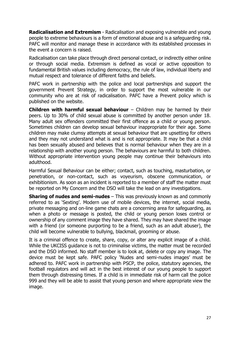**Radicalisation and Extremism** - Radicalisation and exposing vulnerable and young people to extreme behaviours is a form of emotional abuse and is a safeguarding risk. PAFC will monitor and manage these in accordance with its established processes in the event a concern is raised.

Radicalisation can take place through direct personal contact, or indirectly either online or through social media. Extremism is defined as vocal or active opposition to fundamental British values including democracy, the rule of law, individual liberty and mutual respect and tolerance of different faiths and beliefs.

PAFC work in partnership with the police and local partnerships and support the government Prevent Strategy, in order to support the most vulnerable in our community who are at risk of radicalisation. PAFC have a Prevent policy which is published on the website.

**Children with harmful sexual behaviour** – Children may be harmed by their peers. Up to 30% of child sexual abuse is committed by another person under 18. Many adult sex offenders committed their first offence as a child or young person. Sometimes children can develop sexual behaviour inappropriate for their age. Some children may make clumsy attempts at sexual behaviour that are upsetting for others and they may not understand what is and is not appropriate. It may be that a child has been sexually abused and believes that is normal behaviour when they are in a relationship with another young person. The behaviours are harmful to both children. Without appropriate intervention young people may continue their behaviours into adulthood.

Harmful Sexual Behaviour can be either; contact, such as touching, masturbation, or penetration, or non-contact, such as voyeurism, obscene communication, or exhibitionism. As soon as an incident is reported to a member of staff the matter must be reported on My Concern and the DSO will take the lead on any investigations.

**Sharing of nudes and semi-nudes** – This was previously known as and commonly referred to as 'Sexting'. Modern use of mobile devices, the internet, social media, private messaging and on-line game chats are a concerning area for safeguarding, as when a photo or message is posted, the child or young person loses control or ownership of any comment image they have shared. They may have shared the image with a friend (or someone purporting to be a friend, such as an adult abuser), the child will become vulnerable to bullying, blackmail, grooming or abuse.

It is a criminal offence to create, share, copy, or alter any explicit image of a child. While the UKCISS guidance is not to criminalise victims, the matter must be recorded and the DSO informed. No staff member is to look at, delete or copy any image. The device must be kept safe. PAFC policy 'Nudes and semi-nudes images' must be adhered to. PAFC work in partnership with PSCP, the police, statutory agencies, the football regulators and will act in the best interest of our young people to support them through distressing times. If a child is in immediate risk of harm call the police 999 and they will be able to assist that young person and where appropriate view the image.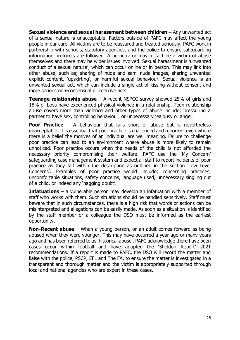**Sexual violence and sexual harassment between children –** Any unwanted act of a sexual nature is unacceptable. Factors outside of PAFC may affect the young people in our care. All victims are to be reassured and treated seriously. PAFC work in partnership with schools, statutory agencies, and the police to ensure safeguarding information protocols are followed. A perpetrator may in fact be a victim of abuse themselves and there may be wider issues involved. Sexual harassment is 'unwanted conduct of a sexual nature', which can occur online or in person. This may link into other abuse, such as; sharing of nude and semi nude images, sharing unwanted explicit content, 'upskirting', or harmful sexual behaviour. Sexual violence is an unwanted sexual act, which can include a single act of kissing without consent and more serious non-consensual or coercive acts.

**Teenage relationship abuse** – A recent NSPCC survey showed 25% of girls and 18% of boys have experienced physical violence in a relationship. Teen relationship abuse covers more than violence and other types of abuse include; pressuring a partner to have sex, controlling behaviour, or unnecessary jealousy or anger.

**Poor Practice** – A behaviour that falls short of abuse but is nevertheless unacceptable. It is essential that poor practice is challenged and reported, even where there is a belief the motives of an individual are well meaning. Failure to challenge poor practice can lead to an environment where abuse is more likely to remain unnoticed. Poor practice occurs when the needs of the child is not afforded the necessary priority compromising their welfare. PAFC use the 'My Concern' safeguarding case management system and expect all staff to report incidents of poor practice as they fall within the description as outlined in the section 'Low Level Concerns'. Examples of poor practice would include; concerning practices, uncomfortable situations, safety concerns, language used, unnecessary singling out of a child, or indeed any 'nagging doubt'.

**Infatuations** – a vulnerable person may develop an infatuation with a member of staff who works with them. Such situations should be handled sensitively. Staff must beware that in such circumstances, there is a high risk that words or actions can be misinterpreted and allegations can be easily made. As soon as a situation is identified by the staff member or a colleague the DSO must be informed as the earliest opportunity.

**Non-Recent abuse** – When a young person, or an adult comes forward as being abused when they were younger. This may have occurred a year ago or many years ago and has been referred to as 'historical abuse'. PAFC acknowledge there have been cases occur within football and have adopted the 'Sheldon Report' 2021 recommendations. If a report is made to PAFC, the DSO will record the matter and liaise with the police, PSCP, EFL and The FA, to ensure the matter is investigated in a transparent and thorough matter and the victim is appropriately supported through local and national agencies who are expert in these cases.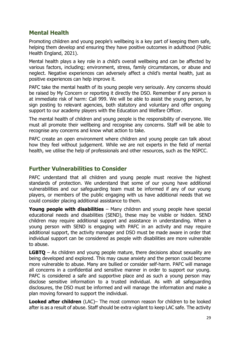## **Mental Health**

Promoting children and young people's wellbeing is a key part of keeping them safe, helping them develop and ensuring they have positive outcomes in adulthood (Public Health England, 2021).

Mental health plays a key role in a child's overall wellbeing and can be affected by various factors, including; environment, stress, family circumstances, or abuse and neglect. Negative experiences can adversely affect a child's mental health, just as positive experiences can help improve it.

PAFC take the mental health of its young people very seriously. Any concerns should be raised by My Concern or reporting it directly the DSO. Remember if any person is at immediate risk of harm: Call 999. We will be able to assist the young person, by sign posting to relevant agencies, both statutory and voluntary and offer ongoing support to our academy players with the Education and Welfare Officer.

The mental health of children and young people is the responsibility of everyone. We must all promote their wellbeing and recognise any concerns. Staff will be able to recognise any concerns and know what action to take.

PAFC create an open environment where children and young people can talk about how they feel without judgement. While we are not experts in the field of mental health, we utilise the help of professionals and other resources, such as the NSPCC.

#### **Further Vulnerabilities to Consider**

PAFC understand that all children and young people must receive the highest standards of protection. We understand that some of our young have additional vulnerabilities and our safeguarding team must be informed if any of our young players, or members of the public engaging with us have additional needs that we could consider placing additional assistance to them.

**Young people with disabilities** – Many children and young people have special educational needs and disabilities (SEND), these may be visible or hidden. SEND children may require additional support and assistance in understanding. When a young person with SEND is engaging with PAFC in an activity and may require additional support, the activity manager and DSO must be made aware in order that individual support can be considered as people with disabilities are more vulnerable to abuse.

**LGBTQ** – As children and young people mature, there decisions about sexuality are being developed and explored. This may cause anxiety and the person could become more vulnerable to abuse. Many are bullied or consider self-harm. PAFC will manage all concerns in a confidential and sensitive manner in order to support our young. PAFC is considered a safe and supportive place and as such a young person may disclose sensitive information to a trusted individual. As with all safeguarding disclosures, the DSO must be informed and will manage the information and make a plan moving forward to support the individual.

**Looked after children** (LAC)– The most common reason for children to be looked after is as a result of abuse. Staff should be extra vigilant to keep LAC safe. The activity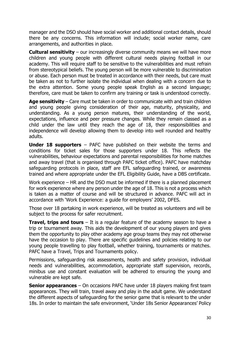manager and the DSO should have social worker and additional contact details, should there be any concerns. This information will include; social worker name, care arrangements, and authorities in place.

**Cultural sensitivity** – our increasingly diverse community means we will have more children and young people with different cultural needs playing football in our academy. This will require staff to be sensitive to the vulnerabilities and must refrain from stereotypical beliefs. The young person will be more vulnerable to discrimination or abuse. Each person must be treated in accordance with their needs, but care must be taken as not to further isolate the individual when dealing with a concern due to the extra attention. Some young people speak English as a second language; therefore, care must be taken to confirm any training or task is understood correctly.

**Age sensitivity** – Care must be taken in order to communicate with and train children and young people giving consideration of their age, maturity, physicality, and understanding. As a young person matures, their understanding of the world, expectations, influence and peer pressure changes. While they remain classed as a child under the law until they reach the age of 18, their responsibilities and independence will develop allowing them to develop into well rounded and healthy adults.

**Under 18 supporters** – PAFC have published on their website the terms and conditions for ticket sales for those supporters under 18. This reflects the vulnerabilities, behaviour expectations and parental responsibilities for home matches and away travel (that is organised through PAFC ticket office). PAFC have matchday safeguarding protocols in place, staff are EFL safeguarding trained, or awareness trained and where appropriate under the EFL Eligibility Guide, have a DBS certificate.

Work experience – HR and the DSO must be informed if there is a planned placement for work experience where any person under the age of 18. This is not a process which is taken as a matter of course and will be structured in advance. PAFC will act in accordance with 'Work Experience: a guide for employers' 2002, DFES.

Those over 18 partaking in work experience, will be treated as volunteers and will be subject to the process for safer recruitment.

**Travel, trips and tours** – It is a regular feature of the academy season to have a trip or tournament away. This aids the development of our young players and gives them the opportunity to play other academy age group teams they may not otherwise have the occasion to play. There are specific guidelines and policies relating to our young people travelling to play football, whether training, tournaments or matches. PAFC have a Travel, Trips and Tournaments policy.

Permissions, safeguarding risk assessments, health and safety provision, individual needs and vulnerabilities, accommodation, appropriate staff supervision, records, minibus use and constant evaluation will be adhered to ensuring the young and vulnerable are kept safe.

**Senior appearances** – On occasions PAFC have under 18 players making first team appearances. They will train, travel away and play in the adult game. We understand the different aspects of safeguarding for the senior game that is relevant to the under 18s. In order to maintain the safe environment, 'Under 18s Senior Appearances' Policy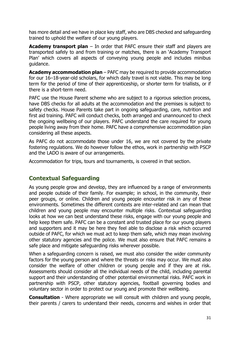has more detail and we have in place key staff, who are DBS checked and safeguarding trained to uphold the welfare of our young players.

**Academy transport plan** – In order that PAFC ensure their staff and players are transported safely to and from training or matches, there is an 'Academy Transport Plan' which covers all aspects of conveying young people and includes minibus guidance.

**Academy accommodation plan** – PAFC may be required to provide accommodation for our 16–18-year-old scholars, for which daily travel is not viable. This may be long term for the period of time of their apprenticeship, or shorter term for triallists, or if there is a short-term need.

PAFC use the House Parent scheme who are subject to a rigorous selection process, have DBS checks for all adults at the accommodation and the premises is subject to safety checks. House Parents take part in ongoing safeguarding, care, nutrition and first aid training. PAFC will conduct checks, both arranged and unannounced to check the ongoing wellbeing of our players. PAFC understand the care required for young people living away from their home. PAFC have a comprehensive accommodation plan considering all these aspects.

As PAFC do not accommodate those under 16, we are not covered by the private fostering regulations. We do however follow the ethos, work in partnership with PSCP and the LADO is aware of our arrangements.

Accommodation for trips, tours and tournaments, is covered in that section.

## **Contextual Safeguarding**

As young people grow and develop, they are influenced by a range of environments and people outside of their family. For example; in school, in the community, their peer groups, or online. Children and young people encounter risk in any of these environments. Sometimes the different contexts are inter-related and can mean that children and young people may encounter multiple risks. Contextual safeguarding looks at how we can best understand these risks, engage with our young people and help keep them safe. PAFC can be a constant and trusted place for our young players and supporters and it may be here they feel able to disclose a risk which occurred outside of PAFC, for which we must act to keep them safe, which may mean involving other statutory agencies and the police. We must also ensure that PAFC remains a safe place and mitigate safeguarding risks wherever possible.

When a safeguarding concern is raised, we must also consider the wider community factors for the young person and where the threats or risks may occur. We must also consider the welfare of other children or young people and if they are at risk. Assessments should consider all the individual needs of the child, including parental support and their understanding of other potential environmental risks. PAFC work in partnership with PSCP, other statutory agencies, football governing bodies and voluntary sector in order to protect our young and promote their wellbeing.

**Consultation** - Where appropriate we will consult with children and young people, their parents / carers to understand their needs, concerns and wishes in order that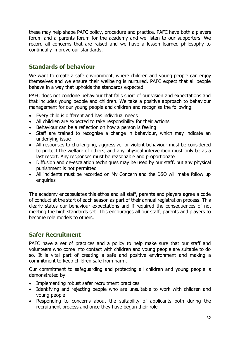these may help shape PAFC policy, procedure and practice. PAFC have both a players forum and a parents forum for the academy and we listen to our supporters. We record all concerns that are raised and we have a lesson learned philosophy to continually improve our standards.

## **Standards of behaviour**

We want to create a safe environment, where children and young people can enjoy themselves and we ensure their wellbeing is nurtured. PAFC expect that all people behave in a way that upholds the standards expected.

PAFC does not condone behaviour that falls short of our vision and expectations and that includes young people and children. We take a positive approach to behaviour management for our young people and children and recognise the following:

- Every child is different and has individual needs
- All children are expected to take responsibility for their actions
- Behaviour can be a reflection on how a person is feeling
- Staff are trained to recognise a change in behaviour, which may indicate an underlying issue
- All responses to challenging, aggressive, or violent behaviour must be considered to protect the welfare of others, and any physical intervention must only be as a last resort. Any responses must be reasonable and proportionate
- Diffusion and de-escalation techniques may be used by our staff, but any physical punishment is not permitted
- All incidents must be recorded on My Concern and the DSO will make follow up enquiries

The academy encapsulates this ethos and all staff, parents and players agree a code of conduct at the start of each season as part of their annual registration process. This clearly states our behaviour expectations and if required the consequences of not meeting the high standards set. This encourages all our staff, parents and players to become role models to others.

## **Safer Recruitment**

PAFC have a set of practices and a policy to help make sure that our staff and volunteers who come into contact with children and young people are suitable to do so. It is vital part of creating a safe and positive environment and making a commitment to keep children safe from harm.

Our commitment to safeguarding and protecting all children and young people is demonstrated by:

- Implementing robust safer recruitment practices
- Identifying and rejecting people who are unsuitable to work with children and young people
- Responding to concerns about the suitability of applicants both during the recruitment process and once they have begun their role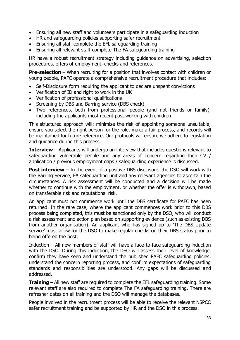- Ensuring all new staff and volunteers participate in a safeguarding induction
- HR and safeguarding policies supporting safer recruitment
- Ensuring all staff complete the EFL safeguarding training
- Ensuring all relevant staff complete The FA safeguarding training

HR have a robust recruitment strategy including guidance on advertising, selection procedures, offers of employment, checks and references.

**Pre-selection** – When recruiting for a position that involves contact with children or young people, PAFC operate a comprehensive recruitment procedure that includes:

- Self-Disclosure form requiring the applicant to declare unspent convictions
- Verification of ID and right to work in the UK
- Verification of professional qualifications
- Screening by DBS and Barring service (DBS check)
- Two references, both from professional people (and not friends or family), including the applicants most recent post working with children

This structured approach will; minimise the risk of appointing someone unsuitable, ensure you select the right person for the role, make a fair process, and records will be maintained for future reference. Our protocols will ensure we adhere to legislation and guidance during this process.

**Interview** – Applicants will undergo an interview that includes questions relevant to safeguarding vulnerable people and any areas of concern regarding their CV / application / previous employment gaps / safeguarding experience is discussed.

**Post interview** – In the event of a positive DBS disclosure, the DSO will work with the Barring Service, FA safeguarding unit and any relevant agencies to ascertain the circumstances. A risk assessment will be conducted and a decision will be made whether to continue with the employment, or whether the offer is withdrawn, based on transferable risk and reputational risk.

An applicant must not commence work until the DBS certificate for PAFC has been returned. In the rare case, where the applicant commences work prior to this DBS process being completed, this must be sanctioned only by the DSO, who will conduct a risk assessment and action plan based on supporting evidence (such as existing DBS from another organisation). An applicant who has signed up to 'The DBS Update service' must allow for the DSO to make regular checks on their DBS status prior to being offered the post.

Induction – All new members of staff will have a face-to-face safeguarding induction with the DSO. During this induction, the DSO will assess their level of knowledge, confirm they have seen and understand the published PAFC safeguarding policies, understand the concern reporting process, and confirm expectations of safeguarding standards and responsibilities are understood. Any gaps will be discussed and addressed.

**Training** – All new staff are required to complete the EFL safeguarding training. Some relevant staff are also required to complete The FA safeguarding training. There are refresher dates on all training and the DSO will manage the databases.

People involved in the recruitment process will be able to receive the relevant NSPCC safer recruitment training and be supported by HR and the DSO in this process.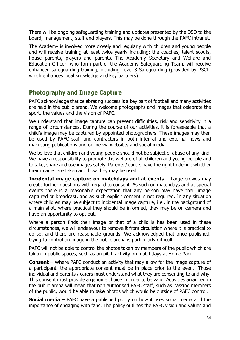There will be ongoing safeguarding training and updates presented by the DSO to the board, management, staff and players. This may be done through the PAFC intranet.

The Academy is involved more closely and regularly with children and young people and will receive training at least twice yearly including; the coaches, talent scouts, house parents, players and parents. The Academy Secretary and Welfare and Education Officer, who form part of the Academy Safeguarding Team, will receive enhanced safeguarding training, including Level 3 Safeguarding (provided by PSCP, which enhances local knowledge and key partners).

#### **Photography and Image Capture**

PAFC acknowledge that celebrating success is a key part of football and many activities are held in the public arena. We welcome photographs and images that celebrate the sport, the values and the vision of PAFC.

We understand that image capture can present difficulties, risk and sensitivity in a range of circumstances. During the course of our activities, it is foreseeable that a child's image may be captured by appointed photographers. These images may then be used by PAFC staff and contractors in both internal and external news and marketing publications and online via websites and social media.

We believe that children and young people should not be subject of abuse of any kind. We have a responsibility to promote the welfare of all children and young people and to take, share and use images safely. Parents / carers have the right to decide whether their images are taken and how they may be used.

**Incidental image capture on matchdays and at events** – Large crowds may create further questions with regard to consent. As such on matchdays and at special events there is a reasonable expectation that any person may have their image captured or broadcast, and as such explicit consent is not required. In any situation where children may be subject to incidental image capture, i.e., in the background of a main shot, where practical they should be informed, they may be on camera and have an opportunity to opt out.

Where a person finds their image or that of a child is has been used in these circumstances, we will endeavour to remove it from circulation where it is practical to do so, and there are reasonable grounds. We acknowledged that once published, trying to control an image in the public arena is particularly difficult.

PAFC will not be able to control the photos taken by members of the public which are taken in public spaces, such as on pitch activity on matchdays at Home Park.

**Consent** – Where PAFC conduct an activity that may allow for the image capture of a participant, the appropriate consent must be in place prior to the event. Those individual and parents / carers must understand what they are consenting to and why. This consent must provide a genuine choice in order to be valid. Activities arranged in the public arena will mean that non authorised PAFC staff, such as passing members of the public, would be able to take photos which would be outside of PAFC control.

**Social media –** PAFC have a published policy on how it uses social media and the importance of engaging with fans. The policy outlines the PAFC vision and values and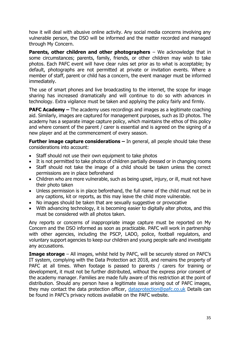how it will deal with abusive online activity. Any social media concerns involving any vulnerable person, the DSO will be informed and the matter recorded and managed through My Concern.

**Parents, other children and other photographers** – We acknowledge that in some circumstances; parents, family, friends, or other children may wish to take photos. Each PAFC event will have clear rules set prior as to what is acceptable; by default, photographs are not permitted at private or invitation events. Where a member of staff, parent or child has a concern, the event manager must be informed immediately.

The use of smart phones and live broadcasting to the internet, the scope for image sharing has increased dramatically and will continue to do so with advances in technology. Extra vigilance must be taken and applying the policy fairly and firmly.

**PAFC Academy –** The academy uses recordings and images as a legitimate coaching aid. Similarly, images are captured for management purposes, such as ID photos. The academy has a separate image capture policy, which maintains the ethos of this policy and where consent of the parent / carer is essential and is agreed on the signing of a new player and at the commencement of every season.

**Further image capture considerations –** In general, all people should take these considerations into account:

- Staff should not use their own equipment to take photos
- It is not permitted to take photos of children partially dressed or in changing rooms
- Staff should not take the image of a child should be taken unless the correct permissions are in place beforehand
- Children who are more vulnerable, such as being upset, injury, or ill, must not have their photo taken
- Unless permission is in place beforehand, the full name of the child must not be in any captions, kit or reports, as this may leave the child more vulnerable.
- No images should be taken that are sexually suggestive or provocative
- With advancing technology, it is becoming easier to digitally alter photos, and this must be considered with all photos taken.

Any reports or concerns of inappropriate image capture must be reported on My Concern and the DSO informed as soon as practicable. PAFC will work in partnership with other agencies, including the PSCP, LADO, police, football regulators, and voluntary support agencies to keep our children and young people safe and investigate any accusations.

**Image storage** – All images, whilst held by PAFC, will be securely stored on PAFC's IT system, complying with the Data Protection act 2018, and remains the property of PAFC at all times. When footage is passed to parents / carers for training or development, it must not be further distributed, without the express prior consent of the academy manager. Families are made fully aware of this restriction at the point of distribution. Should any person have a legitimate issue arising out of PAFC images, they may contact the data protection officer, [dataprotection@pafc.co.uk](mailto:dataprotection@pafc.co.uk) Details can be found in PAFC's privacy notices available on the PAFC website.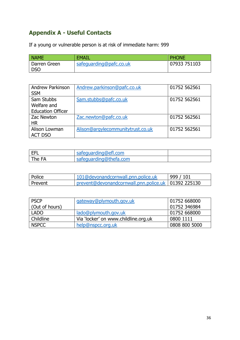## **Appendix A - Useful Contacts**

If a young or vulnerable person is at risk of immediate harm: 999

| <b>NAME</b>  | <b>EMAIL</b>            | <b>PHONE</b> |
|--------------|-------------------------|--------------|
| Darren Green | safequarding@pafc.co.uk | 07933 751103 |
| <b>DSO</b>   |                         |              |

| <b>Andrew Parkinson</b><br><b>SSM</b> | Andrew.parkinson@pafc.co.uk       | 01752 562561 |
|---------------------------------------|-----------------------------------|--------------|
| Sam Stubbs                            | Sam.stubbs@pafc.co.uk             | 01752 562561 |
| Welfare and                           |                                   |              |
| <b>Education Officer</b>              |                                   |              |
| Zac Newton                            | Zac.newton@pafc.co.uk             | 01752 562561 |
| <b>HR</b>                             |                                   |              |
| Alison Lowman                         | Alison@argylecommunitytrust.co.uk | 01752 562561 |
| <b>ACT DSO</b>                        |                                   |              |

| <b>EFL</b> | safeguarding@efl.com   |  |
|------------|------------------------|--|
| The FA     | safequarding@thefa.com |  |

| <b>Police</b> | 101@devonandcornwall.pnn.police.uk                    | 999 / 101 |
|---------------|-------------------------------------------------------|-----------|
| l Prevent     | prevent@devonandcornwall.pnn.police.uk   01392 225130 |           |

| <b>PSCP</b>    | gateway@plymouth.gov.uk              | 01752 668000  |
|----------------|--------------------------------------|---------------|
| (Out of hours) |                                      | 01752 346984  |
| <b>LADO</b>    | lado@plymouth.gov.uk                 | 01752 668000  |
| Childline      | Via 'locker' on www.childline.org.uk | 0800 1111     |
| <b>NSPCC</b>   | help@nspcc.org.uk                    | 0808 800 5000 |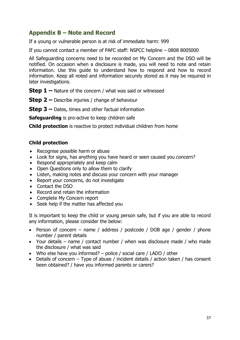## **Appendix B – Note and Record**

If a young or vulnerable person is at risk of immediate harm: 999

If you cannot contact a member of PAFC staff: NSPCC helpline – 0808 8005000

All Safeguarding concerns need to be recorded on My Concern and the DSO will be notified. On occasion when a disclosure is made, you will need to note and retain information. Use this guide to understand how to respond and how to record information. Keep all noted and information securely stored as it may be required in later investigations.

**Step 1 –** Nature of the concern / what was said or witnessed

**Step 2 –** Describe injuries / change of behaviour

**Step 3 –** Dates, times and other factual information

**Safeguarding** is pro-active to keep children safe

**Child protection** is reactive to protect individual children from home

#### **Child protection**

- Recognise possible harm or abuse
- Look for signs, has anything you have heard or seen caused you concern?
- Respond appropriately and keep calm
- Open Questions only to allow them to clarify
- Listen, making notes and discuss your concern with your manager
- Report your concerns, do not investigate
- Contact the DSO
- Record and retain the information
- Complete My Concern report
- Seek help if the matter has affected you

It is important to keep the child or young person safe, but if you are able to record any information, please consider the below:

- Person of concern name / address / postcode / DOB age / gender / phone number / parent details
- Your details name / contact number / when was disclosure made / who made the disclosure / what was said
- Who else have you informed? police / social care / LADO / other
- Details of concern Type of abuse / incident details / action taken / has consent been obtained? / have you informed parents or carers?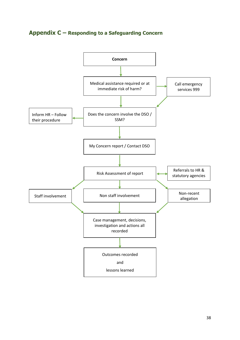## **Appendix C – Responding to a Safeguarding Concern**